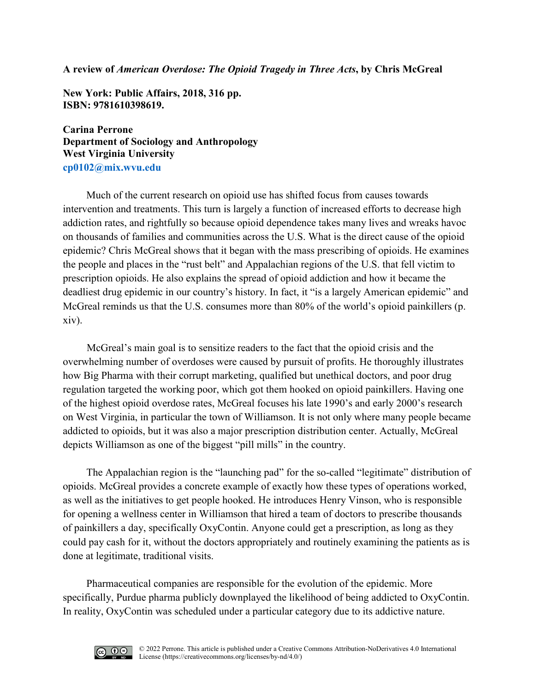## **A review of** *American Overdose: The Opioid Tragedy in Three Acts***, by Chris McGreal**

**New York: Public Affairs, 2018, 316 pp. ISBN: 9781610398619.**

**Carina Perrone Department of Sociology and Anthropology West Virginia University [cp0102@mix.wvu.edu](mailto:cp0102@mix.wvu.edu)**

Much of the current research on opioid use has shifted focus from causes towards intervention and treatments. This turn is largely a function of increased efforts to decrease high addiction rates, and rightfully so because opioid dependence takes many lives and wreaks havoc on thousands of families and communities across the U.S. What is the direct cause of the opioid epidemic? Chris McGreal shows that it began with the mass prescribing of opioids. He examines the people and places in the "rust belt" and Appalachian regions of the U.S. that fell victim to prescription opioids. He also explains the spread of opioid addiction and how it became the deadliest drug epidemic in our country's history. In fact, it "is a largely American epidemic" and McGreal reminds us that the U.S. consumes more than 80% of the world's opioid painkillers (p. xiv).

McGreal's main goal is to sensitize readers to the fact that the opioid crisis and the overwhelming number of overdoses were caused by pursuit of profits. He thoroughly illustrates how Big Pharma with their corrupt marketing, qualified but unethical doctors, and poor drug regulation targeted the working poor, which got them hooked on opioid painkillers. Having one of the highest opioid overdose rates, McGreal focuses his late 1990's and early 2000's research on West Virginia, in particular the town of Williamson. It is not only where many people became addicted to opioids, but it was also a major prescription distribution center. Actually, McGreal depicts Williamson as one of the biggest "pill mills" in the country.

The Appalachian region is the "launching pad" for the so-called "legitimate" distribution of opioids. McGreal provides a concrete example of exactly how these types of operations worked, as well as the initiatives to get people hooked. He introduces Henry Vinson, who is responsible for opening a wellness center in Williamson that hired a team of doctors to prescribe thousands of painkillers a day, specifically OxyContin. Anyone could get a prescription, as long as they could pay cash for it, without the doctors appropriately and routinely examining the patients as is done at legitimate, traditional visits.

Pharmaceutical companies are responsible for the evolution of the epidemic. More specifically, Purdue pharma publicly downplayed the likelihood of being addicted to OxyContin. In reality, OxyContin was scheduled under a particular category due to its addictive nature.

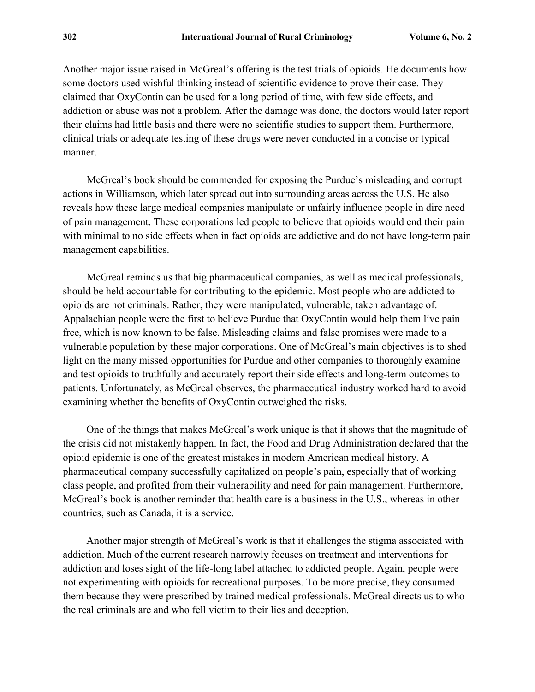Another major issue raised in McGreal's offering is the test trials of opioids. He documents how some doctors used wishful thinking instead of scientific evidence to prove their case. They claimed that OxyContin can be used for a long period of time, with few side effects, and addiction or abuse was not a problem. After the damage was done, the doctors would later report their claims had little basis and there were no scientific studies to support them. Furthermore, clinical trials or adequate testing of these drugs were never conducted in a concise or typical manner.

McGreal's book should be commended for exposing the Purdue's misleading and corrupt actions in Williamson, which later spread out into surrounding areas across the U.S. He also reveals how these large medical companies manipulate or unfairly influence people in dire need of pain management. These corporations led people to believe that opioids would end their pain with minimal to no side effects when in fact opioids are addictive and do not have long-term pain management capabilities.

McGreal reminds us that big pharmaceutical companies, as well as medical professionals, should be held accountable for contributing to the epidemic. Most people who are addicted to opioids are not criminals. Rather, they were manipulated, vulnerable, taken advantage of. Appalachian people were the first to believe Purdue that OxyContin would help them live pain free, which is now known to be false. Misleading claims and false promises were made to a vulnerable population by these major corporations. One of McGreal's main objectives is to shed light on the many missed opportunities for Purdue and other companies to thoroughly examine and test opioids to truthfully and accurately report their side effects and long-term outcomes to patients. Unfortunately, as McGreal observes, the pharmaceutical industry worked hard to avoid examining whether the benefits of OxyContin outweighed the risks.

One of the things that makes McGreal's work unique is that it shows that the magnitude of the crisis did not mistakenly happen. In fact, the Food and Drug Administration declared that the opioid epidemic is one of the greatest mistakes in modern American medical history. A pharmaceutical company successfully capitalized on people's pain, especially that of working class people, and profited from their vulnerability and need for pain management. Furthermore, McGreal's book is another reminder that health care is a business in the U.S., whereas in other countries, such as Canada, it is a service.

Another major strength of McGreal's work is that it challenges the stigma associated with addiction. Much of the current research narrowly focuses on treatment and interventions for addiction and loses sight of the life-long label attached to addicted people. Again, people were not experimenting with opioids for recreational purposes. To be more precise, they consumed them because they were prescribed by trained medical professionals. McGreal directs us to who the real criminals are and who fell victim to their lies and deception.